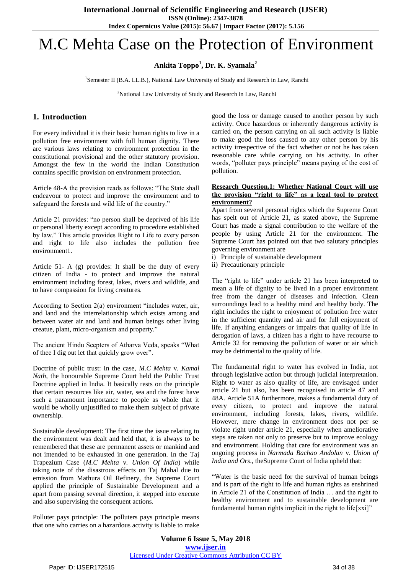# M.C Mehta Case on the Protection of Environment

**Ankita Toppo<sup>1</sup> , Dr. K. Syamala<sup>2</sup>**

<sup>1</sup>Semester II (B.A. LL.B.), National Law University of Study and Research in Law, Ranchi

<sup>2</sup>National Law University of Study and Research in Law, Ranchi

### **1. Introduction**

For every individual it is their basic human rights to live in a pollution free environment with full human dignity. There are various laws relating to environment protection in the constitutional provisional and the other statutory provision. Amongst the few in the world the Indian Constitution contains specific provision on environment protection.

Article 48-A the provision reads as follows: "The State shall endeavour to protect and improve the environment and to safeguard the forests and wild life of the country."

Article 21 provides: "no person shall be deprived of his life or personal liberty except according to procedure established by law." This article provides Right to Life to every person and right to life also includes the pollution free environment1.

Article 51- A (g) provides: It shall be the duty of every citizen of India - to protect and improve the natural environment including forest, lakes, rivers and wildlife, and to have compassion for living creatures.

According to Section 2(a) environment "includes water, air, and land and the interrelationship which exists among and between water air and land and human beings other living creatue, plant, micro-organism and property."

The ancient Hindu Scepters of Atharva Veda, speaks "What of thee I dig out let that quickly grow over".

Doctrine of public trust: In the case, *M.C Mehta* v*. Kamal Nath*, the honourable Supreme Court held the Public Trust Doctrine applied in India. It basically rests on the principle that certain resources like air, water, sea and the forest have such a paramount importance to people as whole that it would be wholly unjustified to make them subject of private ownership.

Sustainable development: The first time the issue relating to the environment was dealt and held that, it is always to be remembered that these are permanent assets or mankind and not intended to be exhausted in one generation. In the Taj Trapezium Case (*M.C Mehta* v*. Union Of India*) while taking note of the disastrous effects on Taj Mahal due to emission from Mathura Oil Refinery, the Supreme Court applied the principle of Sustainable Development and a apart from passing several direction, it stepped into execute and also supervising the consequent actions.

Polluter pays principle: The polluters pays principle means that one who carries on a hazardous activity is liable to make

good the loss or damage caused to another person by such activity. Once hazardous or inherently dangerous activity is carried on, the person carrying on all such activity is liable to make good the loss caused to any other person by his activity irrespective of the fact whether or not he has taken reasonable care while carrying on his activity. In other words, "polluter pays principle" means paying of the cost of pollution.

#### **Research Question.1: Whether National Court will use the provision "right to life" as a legal tool to protect environment?**

Apart from several personal rights which the Supreme Court has spelt out of Article 21, as stated above, the Supreme Court has made a signal contribution to the welfare of the people by using Article 21 for the environment. The Supreme Court has pointed out that two salutary principles governing environment are

- i) Principle of sustainable development
- ii) Precautionary principle

The "right to life" under article 21 has been interpreted to mean a life of dignity to be lived in a proper environment free from the danger of diseases and infection. Clean surroundings lead to a healthy mind and healthy body. The right includes the right to enjoyment of pollution free water in the sufficient quantity and air and for full enjoyment of life. If anything endangers or impairs that quality of life in derogation of laws, a citizen has a right to have recourse to Article 32 for removing the pollution of water or air which may be detrimental to the quality of life.

The fundamental right to water has evolved in India, not through legislative action but through judicial interpretation. Right to water as also quality of life, are envisaged under article 21 but also, has been recognised in article 47 and 48A. Article 51A furthermore, makes a fundamental duty of every citizen, to protect and improve the natural environment, including forests, lakes, rivers, wildlife. However, mere change in environment does not per se violate right under article 21, especially when ameliorative steps are taken not only to preserve but to improve ecology and environment. Holding that care for environment was an ongoing process in *Narmada Bachao Andolan* v*. Union of India and Ors*., theSupreme Court of India upheld that:

"Water is the basic need for the survival of human beings and is part of the right to life and human rights as enshrined in Article 21 of the Constitution of India … and the right to healthy environment and to sustainable development are fundamental human rights implicit in the right to life[xxi]"

**Volume 6 Issue 5, May 2018 <www.ijser.in>** [Licensed Under Creative Commons Attribution CC BY](http://creativecommons.org/licenses/by/4.0/)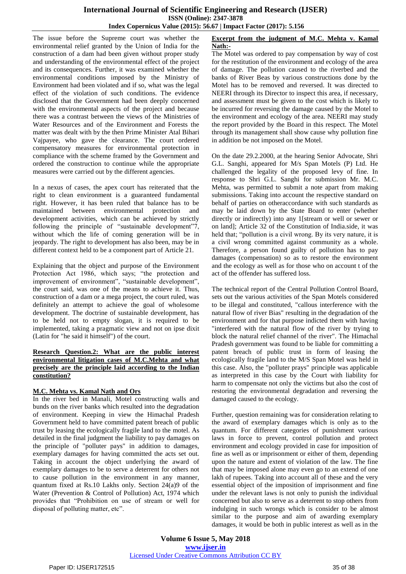The issue before the Supreme court was whether the environmental relief granted by the Union of India for the construction of a dam had been given without proper study and understanding of the environmental effect of the project and its consequences. Further, it was examined whether the environmental conditions imposed by the Ministry of Environment had been violated and if so, what was the legal effect of the violation of such conditions. The evidence disclosed that the Government had been deeply concerned with the environmental aspects of the project and because there was a contrast between the views of the Ministries of Water Resources and of the Environment and Forests the matter was dealt with by the then Prime Minister Atal Bihari Vajpayee, who gave the clearance. The court ordered compensatory measures for environmental protection in compliance with the scheme framed by the Government and ordered the construction to continue while the appropriate measures were carried out by the different agencies.

In a nexus of cases, the apex court has reiterated that the right to clean environment is a guaranteed fundamental right. However, it has been ruled that balance has to be maintained between environmental protection and maintained between environmental protection and development activities, which can be achieved by strictly following the principle of "sustainable development"7, without which the life of coming generation will be in jeopardy. The right to development has also been, may be in different context held to be a component part of Article 21.

Explaining that the object and purpose of the Environment Protection Act 1986, which says; "the protection and improvement of environment", "sustainable development", the court said, was one of the means to achieve it. Thus, construction of a dam or a mega project, the court ruled, was definitely an attempt to achieve the goal of wholesome development. The doctrine of sustainable development, has to be held not to empty slogan, it is required to be implemented, taking a pragmatic view and not on ipse dixit (Latin for "he said it himself") of the court.

#### **Research Question.2: What are the public interest environmental litigation cases of M.C.Mehta and what precisely are the principle laid according to the Indian constitution?**

#### **M.C. Mehta vs. Kamal Nath and Ors**

In the river bed in Manali, Motel constructing walls and bunds on the river banks which resulted into the degradation of environment. Keeping in view the Himachal Pradesh Government held to have committed patent breach of public trust by leasing the ecologically fragile land to the motel. As detailed in the final judgment the liability to pay damages on the principle of "polluter pays" in addition to damages, exemplary damages for having committed the acts set out. Taking in account the object underlying the award of exemplary damages to be to serve a deterrent for others not to cause pollution in the environment in any manner, quantum fixed at Rs.10 Lakhs only. Section 24(a)9 of the Water (Prevention & Control of Pollution) Act, 1974 which provides that "Prohibition on use of stream or well for disposal of polluting matter, etc".

#### **Excerpt from the judgment of M.C. Mehta v. Kamal Nath:-**

The Motel was ordered to pay compensation by way of cost for the restitution of the environment and ecology of the area of damage. The pollution caused to the riverbed and the banks of River Beas by various constructions done by the Motel has to be removed and reversed. It was directed to NEERI through its Director to inspect this area, if necessary, and assessment must be given to the cost which is likely to be incurred for reversing the damage caused by the Motel to the environment and ecology of the area. NEERI may study the report provided by the Board in this respect. The Motel through its management shall show cause why pollution fine in addition be not imposed on the Motel.

On the date 29.2.2000, at the hearing Senior Advocate, Shri G.L. Sanghi, appeared for M/s Span Motels (P) Ltd. He challenged the legality of the proposed levy of fine. In response to Shri G.L. Sanghi for submission Mr. M.C. Mehta, was permitted to submit a note apart from making submissions. Taking into account the respective standard on behalf of parties on otheraccordance with such standards as may be laid down by the State Board to enter (whether directly or indirectly) into any 1[stream or well or sewer or on land]; Article 32 of the Constitution of India.side, it was held that; "pollution is a civil wrong. By its very nature, it is a civil wrong committed against community as a whole. Therefore, a person found guilty of pollution has to pay damages (compensation) so as to restore the environment and the ecology as well as for those who on account t of the act of the offender has suffered loss.

The technical report of the Central Pollution Control Board, sets out the various activities of the Span Motels considered to be illegal and constituted, "callous interference with the natural flow of river Bias" resulting in the degradation of the environment and for that purpose indicted them with having "interfered with the natural flow of the river by trying to block the natural relief channel of the river". The Himachal Pradesh government was found to be liable for committing a patent breach of public trust in form of leasing the ecologically fragile land to the M/S Span Motel was held in this case. Also, the "polluter prays" principle was applicable as interpreted in this case by the Court with liability for harm to compensate not only the victims but also the cost of restoring the environmental degradation and reversing the damaged caused to the ecology.

Further, question remaining was for consideration relating to the award of exemplary damages which is only as to the quantum. For different categories of punishment various laws in force to prevent, control pollution and protect environment and ecology provided in case for imposition of fine as well as or imprisonment or either of them, depending upon the nature and extent of violation of the law. The fine that may be imposed alone may even go to an extend of one lakh of rupees. Taking into account all of these and the very essential object of the imposition of imprisonment and fine under the relevant laws is not only to punish the individual concerned but also to serve as a deterrent to stop others from indulging in such wrongs which is consider to be almost similar to the purpose and aim of awarding exemplary damages, it would be both in public interest as well as in the

**Volume 6 Issue 5, May 2018 <www.ijser.in>** [Licensed Under Creative Commons Attribution CC BY](http://creativecommons.org/licenses/by/4.0/)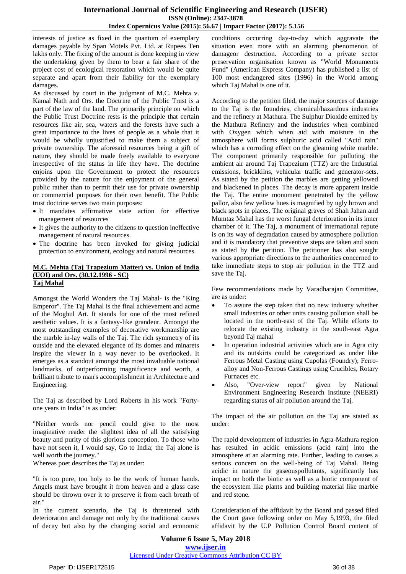interests of justice as fixed in the quantum of exemplary damages payable by Span Motels Pvt. Ltd. at Rupees Ten lakhs only. The fixing of the amount is done keeping in view the undertaking given by them to bear a fair share of the project cost of ecological restoration which would be quite separate and apart from their liability for the exemplary damages.

As discussed by court in the judgment of M.C. Mehta v. Kamal Nath and Ors. the Doctrine of the Public Trust is a part of the law of the land. The primarily principle on which the Public Trust Doctrine rests is the principle that certain resources like air, sea, waters and the forests have such a great importance to the lives of people as a whole that it would be wholly unjustified to make them a subject of private ownership. The aforesaid resources being a gift of nature, they should be made freely available to everyone irrespective of the status in life they have. The doctrine enjoins upon the Government to protect the resources provided by the nature for the enjoyment of the general public rather than to permit their use for private ownership or commercial purposes for their own benefit. The Public trust doctrine serves two main purposes:

- It mandates affirmative state action for effective management of resources
- It gives the authority to the citizens to question ineffective management of natural resources.
- The doctrine has been invoked for giving judicial protection to environment, ecology and natural resources.

#### **M.C. Mehta (Taj Trapezium Matter) vs. Union of India (UOI) and Ors. (30.12.1996 - SC) Taj Mahal**

Amongst the World Wonders the Taj Mahal- is the "King Emperor". The Taj Mahal is the final achievement and acme of the Moghul Art. It stands for one of the most refined aesthetic values. It is a fantasy-like grandeur. Amongst the most outstanding examples of decorative workmanship are the marble in-lay walls of the Taj. The rich symmetry of its outside and the elevated elegance of its domes and minarets inspire the viewer in a way never to be overlooked. It emerges as a standout amongst the most invaluable national landmarks, of outperforming magnificence and worth, a brilliant tribute to man's accomplishment in Architecture and Engineering.

The Taj as described by Lord Roberts in his work "Fortyone years in India" is as under:

"Neither words nor pencil could give to the most imaginative reader the slightest idea of all the satisfying beauty and purity of this glorious conception. To those who have not seen it, I would say, Go to India; the Taj alone is well worth the journey."

Whereas poet describes the Taj as under:

"It is too pure, too holy to be the work of human hands. Angels must have brought it from heaven and a glass case should be thrown over it to preserve it from each breath of air."

In the current scenario, the Taj is threatened with deterioration and damage not only by the traditional causes of decay but also by the changing social and economic conditions occurring day-to-day which aggravate the situation even more with an alarming phenomenon of damageor destruction. According to a private sector preservation organisation known as "World Monuments Fund" (American Express Company) has published a list of 100 most endangered sites (1996) in the World among which Taj Mahal is one of it.

According to the petition filed, the major sources of damage to the Taj is the foundries, chemical/hazardous industries and the refinery at Mathura. The Sulphur Dioxide emitted by the Mathura Refinery and the industries when combined with Oxygen which when aid with moisture in the atmosphere will forms sulphuric acid called "Acid rain" which has a corroding effect on the gleaming white marble. The component primarily responsible for polluting the ambient air around Taj Trapezium (TTZ) are the Industrial emissions, brickkilns, vehicular traffic and generator-sets. As stated by the petition the marbles are getting yellowed and blackened in places. The decay is more apparent inside the Taj. The entire monument penetrated by the yellow pallor, also few yellow hues is magnified by ugly brown and black spots in places. The original graves of Shah Jahan and Mumtaz Mahal has the worst fungal deterioration in its inner chamber of it. The Taj, a monument of international repute is on its way of degradation caused by atmosphere pollution and it is mandatory that preventive steps are taken and soon as stated by the petition. The petitioner has also sought various appropriate directions to the authorities concerned to take immediate steps to stop air pollution in the TTZ and save the Taj.

Few recommendations made by Varadharajan Committee, are as under:

- To assure the step taken that no new industry whether small industries or other units causing pollution shall be located in the north-east of the Taj. While efforts to relocate the existing industry in the south-east Agra beyond Taj mahal
- In operation industrial activities which are in Agra city and its outskirts could be categorized as under like Ferrous Metal Casting using Cupolas (Foundry); Ferroalloy and Non-Ferrous Castings using Crucibles, Rotary Furnaces etc.
- Also, "Over-view report" given by National Environment Engineering Research Institute (NEERI) regarding status of air pollution around the Taj.

The impact of the air pollution on the Taj are stated as under:

The rapid development of industries in Agra-Mathura region has resulted in acidic emissions (acid rain) into the atmosphere at an alarming rate. Further, leading to causes a serious concern on the well-being of Taj Mahal. Being acidic in nature the gaseouspollutants, significantly has impact on both the biotic as well as a biotic component of the ecosystem like plants and building material like marble and red stone.

Consideration of the affidavit by the Board and passed filed the Court gave following order on May 5,1993, the filed affidavit by the U.P Pollution Control Board content of

**Volume 6 Issue 5, May 2018 <www.ijser.in>** [Licensed Under Creative Commons Attribution CC BY](http://creativecommons.org/licenses/by/4.0/)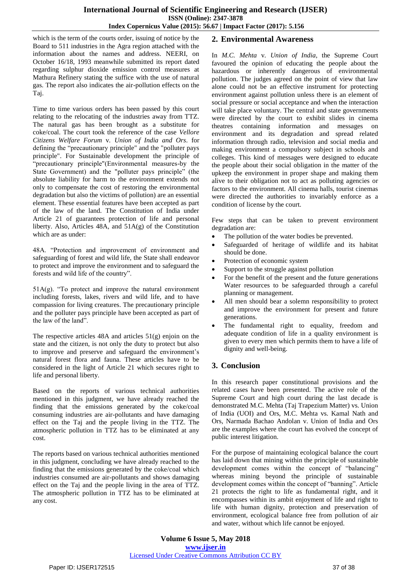which is the term of the courts order, issuing of notice by the Board to 511 industries in the Agra region attached with the information about the names and address. NEERI, on October 16/18, 1993 meanwhile submitted its report dated regarding sulphur dioxide emission control measures at Mathura Refinery stating the suffice with the use of natural gas. The report also indicates the air-pollution effects on the Taj.

Time to time various orders has been passed by this court relating to the relocating of the industries away from TTZ. The natural gas has been brought as a substitute for coke/coal. The court took the reference of the case *Vellore Citizens Welfare Forum* v*. Union of India and Ors*. for defining the "precautionary principle" and the "polluter pays principle". For Sustainable development the principle of "precautionary principle"(Environmental measures-by the State Government) and the "polluter pays principle" (the absolute liability for harm to the environment extends not only to compensate the cost of restoring the environmental degradation but also the victims of pollution) are an essential element. These essential features have been accepted as part of the law of the land. The Constitution of India under Article 21 of guarantees protection of life and personal liberty. Also, Articles 48A, and 51A(g) of the Constitution which are as under:

48A. "Protection and improvement of environment and safeguarding of forest and wild life, the State shall endeavor to protect and improve the environment and to safeguard the forests and wild life of the country".

 $51A(g)$ . "To protect and improve the natural environment including forests, lakes, rivers and wild life, and to have compassion for living creatures. The precautionary principle and the polluter pays principle have been accepted as part of the law of the land".

The respective articles  $48A$  and articles  $51(g)$  enjoin on the state and the citizen, is not only the duty to protect but also to improve and preserve and safeguard the environment's natural forest flora and fauna. These articles have to be considered in the light of Article 21 which secures right to life and personal liberty.

Based on the reports of various technical authorities mentioned in this judgment, we have already reached the finding that the emissions generated by the coke/coal consuming industries are air-pollutants and have damaging effect on the Taj and the people living in the TTZ. The atmospheric pollution in TTZ has to be eliminated at any cost.

The reports based on various technical authorities mentioned in this judgment, concluding we have already reached to the finding that the emissions generated by the coke/coal which industries consumed are air-pollutants and shows damaging effect on the Taj and the people living in the area of TTZ. The atmospheric pollution in TTZ has to be eliminated at any cost.

# **2. Environmental Awareness**

In *M.C. Mehta* v*. Union of India*, the Supreme Court favoured the opinion of educating the people about the hazardous or inherently dangerous of environmental pollution. The judges agreed on the point of view that law alone could not be an effective instrument for protecting environment against pollution unless there is an element of social pressure or social acceptance and when the interaction will take place voluntary. The central and state governments were directed by the court to exhibit slides in cinema theatres containing information and messages on environment and its degradation and spread related information through radio, television and social media and making environment a compulsory subject in schools and colleges. This kind of messages were designed to educate the people about their social obligation in the matter of the upkeep the environment in proper shape and making them alive to their obligation not to act as polluting agencies or factors to the environment. All cinema halls, tourist cinemas were directed the authorities to invariably enforce as a condition of license by the court.

Few steps that can be taken to prevent environment degradation are:

- The pollution of the water bodies be prevented.
- Safeguarded of heritage of wildlife and its habitat should be done.
- Protection of economic system
- Support to the struggle against pollution
- For the benefit of the present and the future generations Water resources to be safeguarded through a careful planning or management.
- All men should bear a solemn responsibility to protect and improve the environment for present and future generations.
- The fundamental right to equality, freedom and adequate condition of life in a quality environment is given to every men which permits them to have a life of dignity and well-being.

# **3. Conclusion**

In this research paper constitutional provisions and the related cases have been presented. The active role of the Supreme Court and high court during the last decade is demonstrated M.C. Mehta (Taj Trapezium Matter) vs. Union of India (UOI) and Ors, M.C. Mehta vs. Kamal Nath and Ors, Narmada Bachao Andolan v. Union of India and Ors are the examples where the court has evolved the concept of public interest litigation.

For the purpose of maintaining ecological balance the court has laid down that mining within the principle of sustainable development comes within the concept of "balancing" whereas mining beyond the principle of sustainable development comes within the concept of "banning". Article 21 protects the right to life as fundamental right, and it encompasses within its ambit enjoyment of life and right to life with human dignity, protection and preservation of environment, ecological balance free from pollution of air and water, without which life cannot be enjoyed.